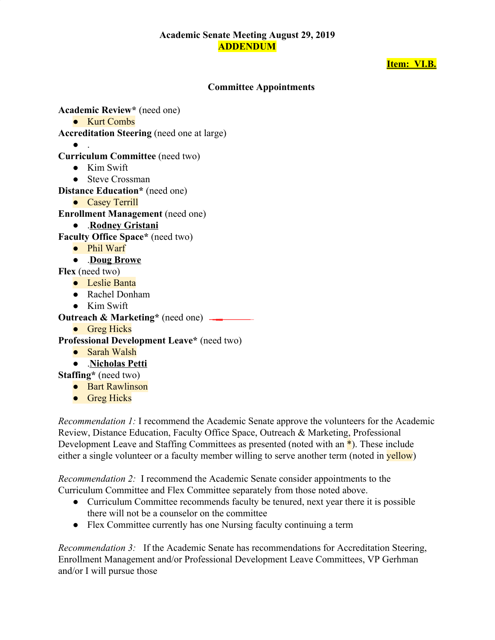## **Academic Senate Meeting August 29, 2019 ADDENDUM**

## **Item: VI.B.**

### **Committee Appointments**

**Academic Review\*** (need one)

● Kurt Combs

**Accreditation Steering** (need one at large)

 $\bullet$  .

- **Curriculum Committee** (need two)
	- Kim Swift
	- Steve Crossman

**Distance Education\*** (need one)

● Casey Terrill

**Enrollment Management** (need one)

- .**Rodney Gristani**
- **Faculty Office Space\*** (need two)
	- Phil Warf

● .**Doug Browe**

**Flex** (need two)

- Leslie Banta
- Rachel Donham
- Kim Swift

**Outreach & Marketing\*** (need one)

● Greg Hicks

**Professional Development Leave\*** (need two)

● Sarah Walsh

● .**Nicholas Petti**

**Staffing\*** (need two)

- Bart Rawlinson
- Greg Hicks

*Recommendation 1:* I recommend the Academic Senate approve the volunteers for the Academic Review, Distance Education, Faculty Office Space, Outreach & Marketing, Professional Development Leave and Staffing Committees as presented (noted with an \*). These include either a single volunteer or a faculty member willing to serve another term (noted in **yellow**)

*Recommendation 2:* I recommend the Academic Senate consider appointments to the Curriculum Committee and Flex Committee separately from those noted above.

- Curriculum Committee recommends faculty be tenured, next year there it is possible there will not be a counselor on the committee
- Flex Committee currently has one Nursing faculty continuing a term

*Recommendation 3:* If the Academic Senate has recommendations for Accreditation Steering, Enrollment Management and/or Professional Development Leave Committees, VP Gerhman and/or I will pursue those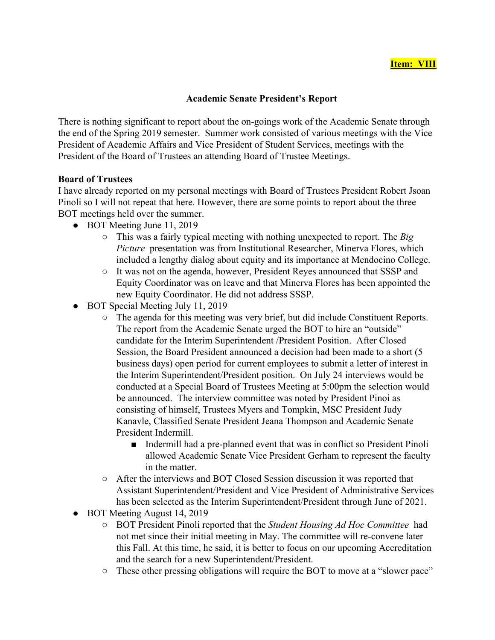## **Academic Senate President's Report**

There is nothing significant to report about the on-goings work of the Academic Senate through the end of the Spring 2019 semester. Summer work consisted of various meetings with the Vice President of Academic Affairs and Vice President of Student Services, meetings with the President of the Board of Trustees an attending Board of Trustee Meetings.

#### **Board of Trustees**

I have already reported on my personal meetings with Board of Trustees President Robert Jsoan Pinoli so I will not repeat that here. However, there are some points to report about the three BOT meetings held over the summer.

- BOT Meeting June 11, 2019
	- This was a fairly typical meeting with nothing unexpected to report. The *Big Picture* presentation was from Institutional Researcher, Minerva Flores, which included a lengthy dialog about equity and its importance at Mendocino College.
	- It was not on the agenda, however, President Reyes announced that SSSP and Equity Coordinator was on leave and that Minerva Flores has been appointed the new Equity Coordinator. He did not address SSSP.
- BOT Special Meeting July 11, 2019
	- The agenda for this meeting was very brief, but did include Constituent Reports. The report from the Academic Senate urged the BOT to hire an "outside" candidate for the Interim Superintendent /President Position. After Closed Session, the Board President announced a decision had been made to a short (5 business days) open period for current employees to submit a letter of interest in the Interim Superintendent/President position. On July 24 interviews would be conducted at a Special Board of Trustees Meeting at 5:00pm the selection would be announced. The interview committee was noted by President Pinoi as consisting of himself, Trustees Myers and Tompkin, MSC President Judy Kanavle, Classified Senate President Jeana Thompson and Academic Senate President Indermill.
		- Indermill had a pre-planned event that was in conflict so President Pinoli allowed Academic Senate Vice President Gerham to represent the faculty in the matter.
	- After the interviews and BOT Closed Session discussion it was reported that Assistant Superintendent/President and Vice President of Administrative Services has been selected as the Interim Superintendent/President through June of 2021.
- BOT Meeting August 14, 2019
	- BOT President Pinoli reported that the *Student Housing Ad Hoc Committee* had not met since their initial meeting in May. The committee will re-convene later this Fall. At this time, he said, it is better to focus on our upcoming Accreditation and the search for a new Superintendent/President.
	- These other pressing obligations will require the BOT to move at a "slower pace"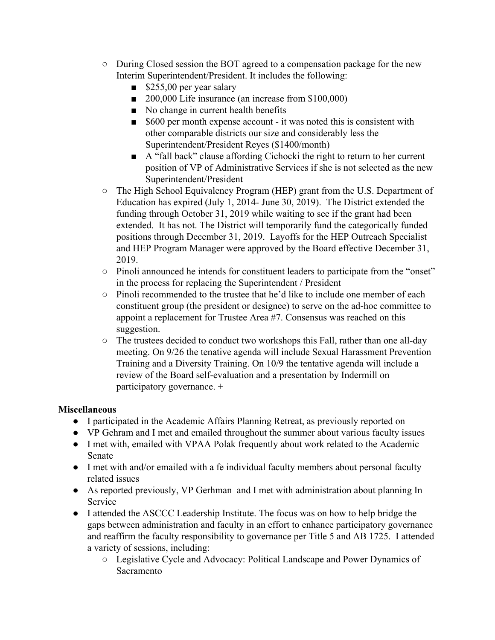- During Closed session the BOT agreed to a compensation package for the new Interim Superintendent/President. It includes the following:
	- \$255,00 per year salary
	- 200,000 Life insurance (an increase from \$100,000)
	- No change in current health benefits
	- \$600 per month expense account it was noted this is consistent with other comparable districts our size and considerably less the Superintendent/President Reyes (\$1400/month)
	- A "fall back" clause affording Cichocki the right to return to her current position of VP of Administrative Services if she is not selected as the new Superintendent/President
- The High School Equivalency Program (HEP) grant from the U.S. Department of Education has expired (July 1, 2014- June 30, 2019). The District extended the funding through October 31, 2019 while waiting to see if the grant had been extended. It has not. The District will temporarily fund the categorically funded positions through December 31, 2019. Layoffs for the HEP Outreach Specialist and HEP Program Manager were approved by the Board effective December 31, 2019.
- Pinoli announced he intends for constituent leaders to participate from the "onset" in the process for replacing the Superintendent / President
- Pinoli recommended to the trustee that he'd like to include one member of each constituent group (the president or designee) to serve on the ad-hoc committee to appoint a replacement for Trustee Area #7. Consensus was reached on this suggestion.
- The trustees decided to conduct two workshops this Fall, rather than one all-day meeting. On 9/26 the tenative agenda will include Sexual Harassment Prevention Training and a Diversity Training. On 10/9 the tentative agenda will include a review of the Board self-evaluation and a presentation by Indermill on participatory governance. +

# **Miscellaneous**

- I participated in the Academic Affairs Planning Retreat, as previously reported on
- VP Gehram and I met and emailed throughout the summer about various faculty issues
- I met with, emailed with VPAA Polak frequently about work related to the Academic Senate
- I met with and/or emailed with a fe individual faculty members about personal faculty related issues
- As reported previously, VP Gerhman and I met with administration about planning In Service
- I attended the ASCCC Leadership Institute. The focus was on how to help bridge the gaps between administration and faculty in an effort to enhance participatory governance and reaffirm the faculty responsibility to governance per Title 5 and AB 1725. I attended a variety of sessions, including:
	- Legislative Cycle and Advocacy: Political Landscape and Power Dynamics of **Sacramento**